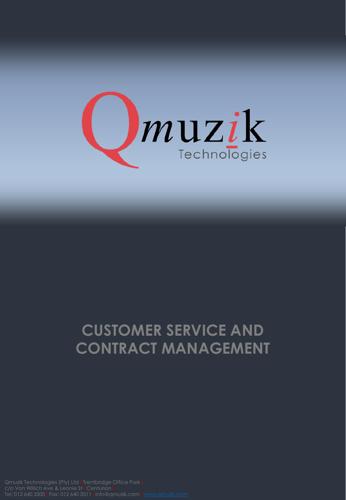

## **CUSTOMER SERVICE AND CONTRACT MANAGEMENT**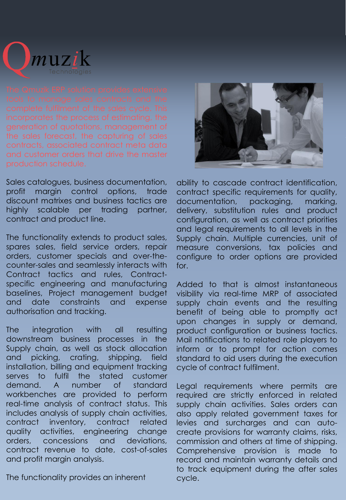

the sales forecast, the capturing of sales contracts, associated contract meta data

Sales catalogues, business documentation, profit margin control options, trade discount matrixes and business tactics are highly scalable per trading partner, contract and product line.

The functionality extends to product sales, spares sales, field service orders, repair orders, customer specials and over-thecounter-sales and seamlessly interacts with Contract tactics and rules, Contractspecific engineering and manufacturing baselines, Project management budget and date constraints and expense authorisation and tracking.

The integration with all resulting downstream business processes in the Supply chain, as well as stock allocation and picking, crating, shipping, field installation, billing and equipment tracking serves to fulfil the stated customer demand. A number of standard workbenches are provided to perform real-time analysis of contract status. This includes analysis of supply chain activities, contract inventory, contract related quality activities, engineering change orders, concessions and deviations, contract revenue to date, cost-of-sales and profit margin analysis.

The functionality provides an inherent



ability to cascade contract identification, contract specific requirements for quality, documentation, packaging, marking, delivery, substitution rules and product configuration, as well as contract priorities and legal requirements to all levels in the Supply chain. Multiple currencies, unit of measure conversions, tax policies and configure to order options are provided for.

Added to that is almost instantaneous visibility via real-time MRP of associated supply chain events and the resulting benefit of being able to promptly act upon changes in supply or demand, product configuration or business tactics. Mail notifications to related role players to inform or to prompt for action comes standard to aid users during the execution cycle of contract fulfilment.

Legal requirements where permits are required are strictly enforced in related supply chain activities. Sales orders can also apply related government taxes for levies and surcharges and can autocreate provisions for warranty claims, risks, commission and others at time of shipping. Comprehensive provision is made to record and maintain warranty details and to track equipment during the after sales cycle.